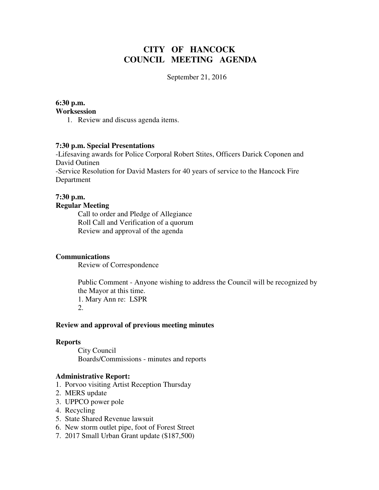# **CITY OF HANCOCK COUNCIL MEETING AGENDA**

September 21, 2016

### **6:30 p.m.**

**Worksession** 

1. Review and discuss agenda items.

#### **7:30 p.m. Special Presentations**

-Lifesaving awards for Police Corporal Robert Stites, Officers Darick Coponen and David Outinen -Service Resolution for David Masters for 40 years of service to the Hancock Fire

### **7:30 p.m. Regular Meeting**

Department

 Call to order and Pledge of Allegiance Roll Call and Verification of a quorum Review and approval of the agenda

#### **Communications**

Review of Correspondence

 Public Comment - Anyone wishing to address the Council will be recognized by the Mayor at this time. 1. Mary Ann re: LSPR 2.

#### **Review and approval of previous meeting minutes**

#### **Reports**

City Council Boards/Commissions - minutes and reports

#### **Administrative Report:**

- 1. Porvoo visiting Artist Reception Thursday
- 2. MERS update
- 3. UPPCO power pole
- 4. Recycling
- 5. State Shared Revenue lawsuit
- 6. New storm outlet pipe, foot of Forest Street
- 7. 2017 Small Urban Grant update (\$187,500)